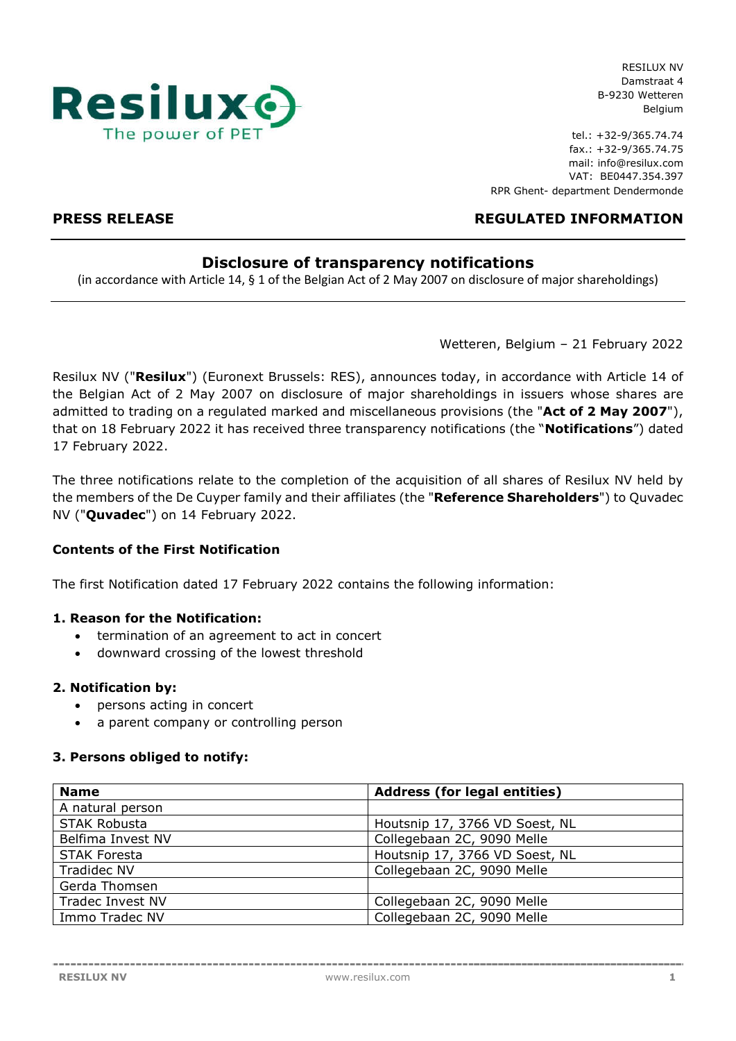

tel.: +32-9/365.74.74 fax.: +32-9/365.74.75 mail: info@resilux.com VAT: BE0447.354.397 RPR Ghent- department Dendermonde

# **PRESS RELEASE REGULATED INFORMATION**

## **Disclosure of transparency notifications**

(in accordance with Article 14, § 1 of the Belgian Act of 2 May 2007 on disclosure of major shareholdings)

Wetteren, Belgium – 21 February 2022

Resilux NV ("**Resilux**") (Euronext Brussels: RES), announces today, in accordance with Article 14 of the Belgian Act of 2 May 2007 on disclosure of major shareholdings in issuers whose shares are admitted to trading on a regulated marked and miscellaneous provisions (the "**Act of 2 May 2007**"), that on 18 February 2022 it has received three transparency notifications (the "**Notifications**") dated 17 February 2022.

The three notifications relate to the completion of the acquisition of all shares of Resilux NV held by the members of the De Cuyper family and their affiliates (the "**Reference Shareholders**") to Quvadec NV ("**Quvadec**") on 14 February 2022.

## **Contents of the First Notification**

The first Notification dated 17 February 2022 contains the following information:

## **1. Reason for the Notification:**

- termination of an agreement to act in concert
- downward crossing of the lowest threshold

## **2. Notification by:**

- persons acting in concert
- a parent company or controlling person

## **3. Persons obliged to notify:**

| <b>Name</b>         | <b>Address (for legal entities)</b> |
|---------------------|-------------------------------------|
| A natural person    |                                     |
| <b>STAK Robusta</b> | Houtsnip 17, 3766 VD Soest, NL      |
| Belfima Invest NV   | Collegebaan 2C, 9090 Melle          |
| <b>STAK Foresta</b> | Houtsnip 17, 3766 VD Soest, NL      |
| <b>Tradidec NV</b>  | Collegebaan 2C, 9090 Melle          |
| Gerda Thomsen       |                                     |
| Tradec Invest NV    | Collegebaan 2C, 9090 Melle          |
| Immo Tradec NV      | Collegebaan 2C, 9090 Melle          |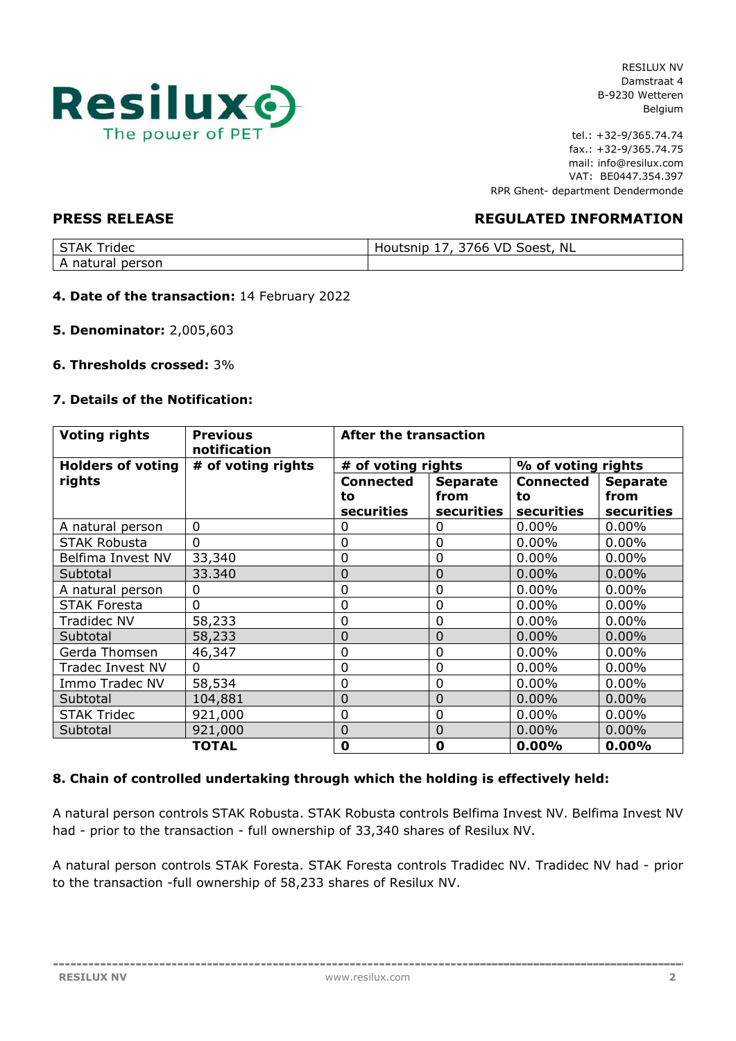

tel.: +32-9/365.74.74 fax.: +32-9/365.74.75 mail: info@resilux.com VAT: BE0447.354.397 RPR Ghent- department Dendermonde

## **PRESS RELEASE REGULATED INFORMATION**

| <b>ridec</b><br>AK<br>ت | <b>VD</b><br>Soest, NL<br>Houtsnip<br>766<br>$\tilde{\phantom{a}}$<br>-- |
|-------------------------|--------------------------------------------------------------------------|
| natural.<br>person      |                                                                          |

### **4. Date of the transaction:** 14 February 2022

**5. Denominator:** 2,005,603

### **6. Thresholds crossed:** 3%

### **7. Details of the Notification:**

| <b>Voting rights</b>     | <b>Previous</b><br>notification | <b>After the transaction</b> |                 |                    |                 |
|--------------------------|---------------------------------|------------------------------|-----------------|--------------------|-----------------|
| <b>Holders of voting</b> | # of voting rights              | # of voting rights           |                 | % of voting rights |                 |
| rights                   |                                 | <b>Connected</b>             | <b>Separate</b> | <b>Connected</b>   | <b>Separate</b> |
|                          |                                 | to                           | from            | to                 | from            |
|                          |                                 | <b>securities</b>            | securities      | securities         | securities      |
| A natural person         | $\overline{0}$                  | 0                            | 0               | 0.00%              | 0.00%           |
| <b>STAK Robusta</b>      | $\overline{0}$                  | $\mathbf 0$                  | 0               | $0.00\%$           | $0.00\%$        |
| Belfima Invest NV        | 33,340                          | $\mathbf 0$                  | $\overline{0}$  | 0.00%              | 0.00%           |
| Subtotal                 | 33.340                          | 0                            | 0               | $0.00\%$           | $0.00\%$        |
| A natural person         | $\Omega$                        | $\overline{0}$               | $\overline{0}$  | 0.00%              | 0.00%           |
| <b>STAK Foresta</b>      | 0                               | $\mathbf 0$                  | 0               | $0.00\%$           | $0.00\%$        |
| <b>Tradidec NV</b>       | 58,233                          | $\mathbf 0$                  | $\overline{0}$  | 0.00%              | $0.00\%$        |
| Subtotal                 | 58,233                          | $\mathbf 0$                  | 0               | $0.00\%$           | $0.00\%$        |
| Gerda Thomsen            | 46,347                          | $\overline{0}$               | 0               | $0.00\%$           | $0.00\%$        |
| Tradec Invest NV         | $\Omega$                        | $\mathbf 0$                  | 0               | $0.00\%$           | $0.00\%$        |
| Immo Tradec NV           | 58,534                          | $\mathbf 0$                  | 0               | $0.00\%$           | $0.00\%$        |
| Subtotal                 | 104,881                         | $\overline{0}$               | $\Omega$        | $0.00\%$           | 0.00%           |
| <b>STAK Tridec</b>       | 921,000                         | $\mathbf 0$                  | 0               | $0.00\%$           | $0.00\%$        |
| Subtotal                 | 921,000                         | $\overline{0}$               | $\Omega$        | $0.00\%$           | $0.00\%$        |
|                          | <b>TOTAL</b>                    | $\bf{0}$                     | 0               | 0.00%              | 0.00%           |

## **8. Chain of controlled undertaking through which the holding is effectively held:**

A natural person controls STAK Robusta. STAK Robusta controls Belfima Invest NV. Belfima Invest NV had - prior to the transaction - full ownership of 33,340 shares of Resilux NV.

A natural person controls STAK Foresta. STAK Foresta controls Tradidec NV. Tradidec NV had - prior to the transaction -full ownership of 58,233 shares of Resilux NV.

--------------------------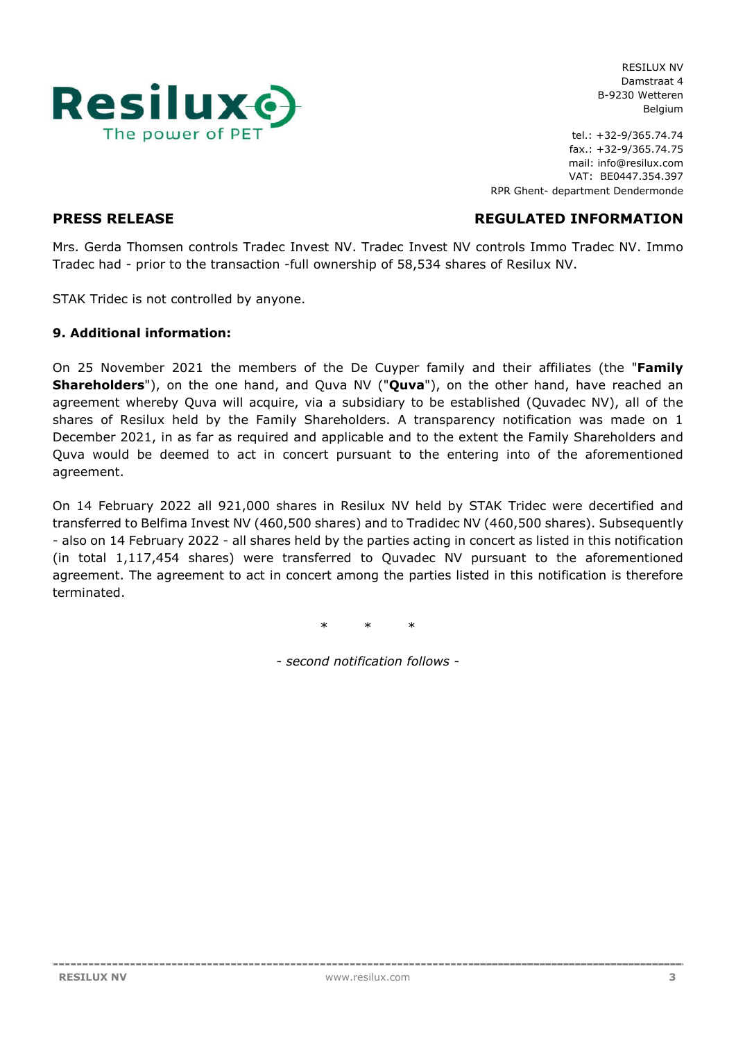

tel.: +32-9/365.74.74 fax.: +32-9/365.74.75 mail: info@resilux.com VAT: BE0447.354.397 RPR Ghent- department Dendermonde

**PRESS RELEASE REGULATED INFORMATION**

Mrs. Gerda Thomsen controls Tradec Invest NV. Tradec Invest NV controls Immo Tradec NV. Immo Tradec had - prior to the transaction -full ownership of 58,534 shares of Resilux NV.

STAK Tridec is not controlled by anyone.

## **9. Additional information:**

On 25 November 2021 the members of the De Cuyper family and their affiliates (the "**Family Shareholders**"), on the one hand, and Quva NV ("**Quva**"), on the other hand, have reached an agreement whereby Quva will acquire, via a subsidiary to be established (Quvadec NV), all of the shares of Resilux held by the Family Shareholders. A transparency notification was made on 1 December 2021, in as far as required and applicable and to the extent the Family Shareholders and Quva would be deemed to act in concert pursuant to the entering into of the aforementioned agreement.

On 14 February 2022 all 921,000 shares in Resilux NV held by STAK Tridec were decertified and transferred to Belfima Invest NV (460,500 shares) and to Tradidec NV (460,500 shares). Subsequently - also on 14 February 2022 - all shares held by the parties acting in concert as listed in this notification (in total 1,117,454 shares) were transferred to Quvadec NV pursuant to the aforementioned agreement. The agreement to act in concert among the parties listed in this notification is therefore terminated.

\* \* \*

- *second notification follows* -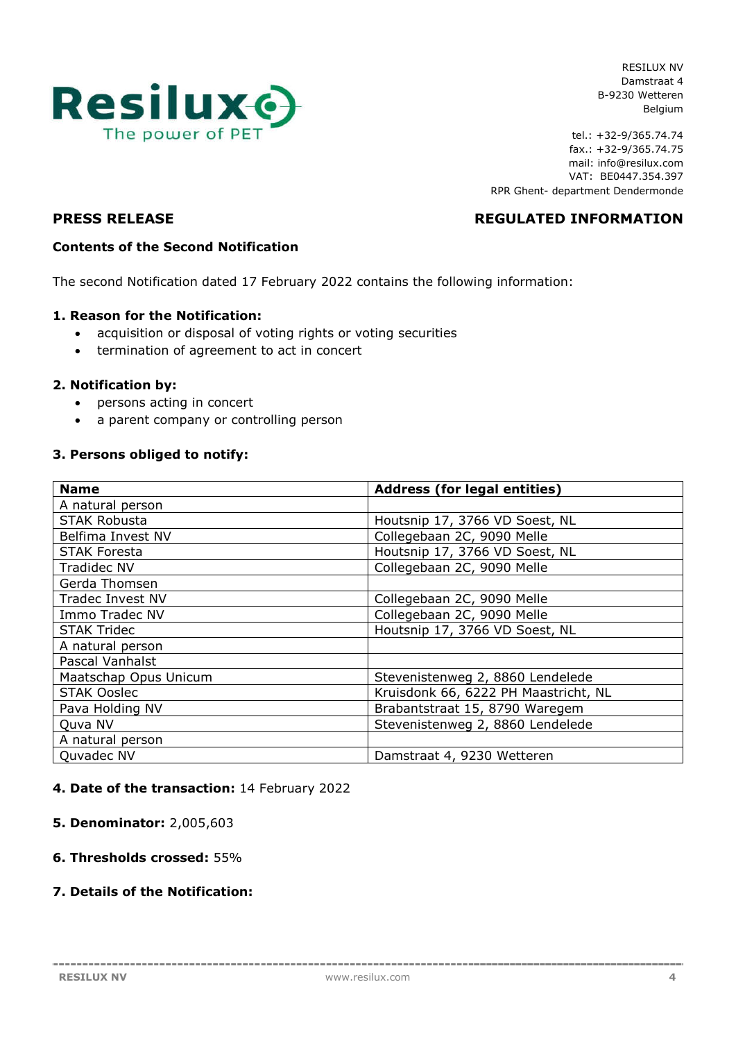

tel.: +32-9/365.74.74 fax.: +32-9/365.74.75 mail: info@resilux.com VAT: BE0447.354.397 RPR Ghent- department Dendermonde

# **PRESS RELEASE REGULATED INFORMATION**

## **Contents of the Second Notification**

The second Notification dated 17 February 2022 contains the following information:

### **1. Reason for the Notification:**

- acquisition or disposal of voting rights or voting securities
- termination of agreement to act in concert

### **2. Notification by:**

- persons acting in concert
- a parent company or controlling person

### **3. Persons obliged to notify:**

| <b>Name</b>             | <b>Address (for legal entities)</b>  |  |  |
|-------------------------|--------------------------------------|--|--|
| A natural person        |                                      |  |  |
| STAK Robusta            | Houtsnip 17, 3766 VD Soest, NL       |  |  |
| Belfima Invest NV       | Collegebaan 2C, 9090 Melle           |  |  |
| <b>STAK Foresta</b>     | Houtsnip 17, 3766 VD Soest, NL       |  |  |
| <b>Tradidec NV</b>      | Collegebaan 2C, 9090 Melle           |  |  |
| Gerda Thomsen           |                                      |  |  |
| <b>Tradec Invest NV</b> | Collegebaan 2C, 9090 Melle           |  |  |
| Immo Tradec NV          | Collegebaan 2C, 9090 Melle           |  |  |
| <b>STAK Tridec</b>      | Houtsnip 17, 3766 VD Soest, NL       |  |  |
| A natural person        |                                      |  |  |
| Pascal Vanhalst         |                                      |  |  |
| Maatschap Opus Unicum   | Stevenistenweg 2, 8860 Lendelede     |  |  |
| <b>STAK Ooslec</b>      | Kruisdonk 66, 6222 PH Maastricht, NL |  |  |
| Pava Holding NV         | Brabantstraat 15, 8790 Waregem       |  |  |
| Quva NV                 | Stevenistenweg 2, 8860 Lendelede     |  |  |
| A natural person        |                                      |  |  |
| Quvadec NV              | Damstraat 4, 9230 Wetteren           |  |  |

## **4. Date of the transaction:** 14 February 2022

**5. Denominator:** 2,005,603

## **6. Thresholds crossed:** 55%

## **7. Details of the Notification:**

--------------------------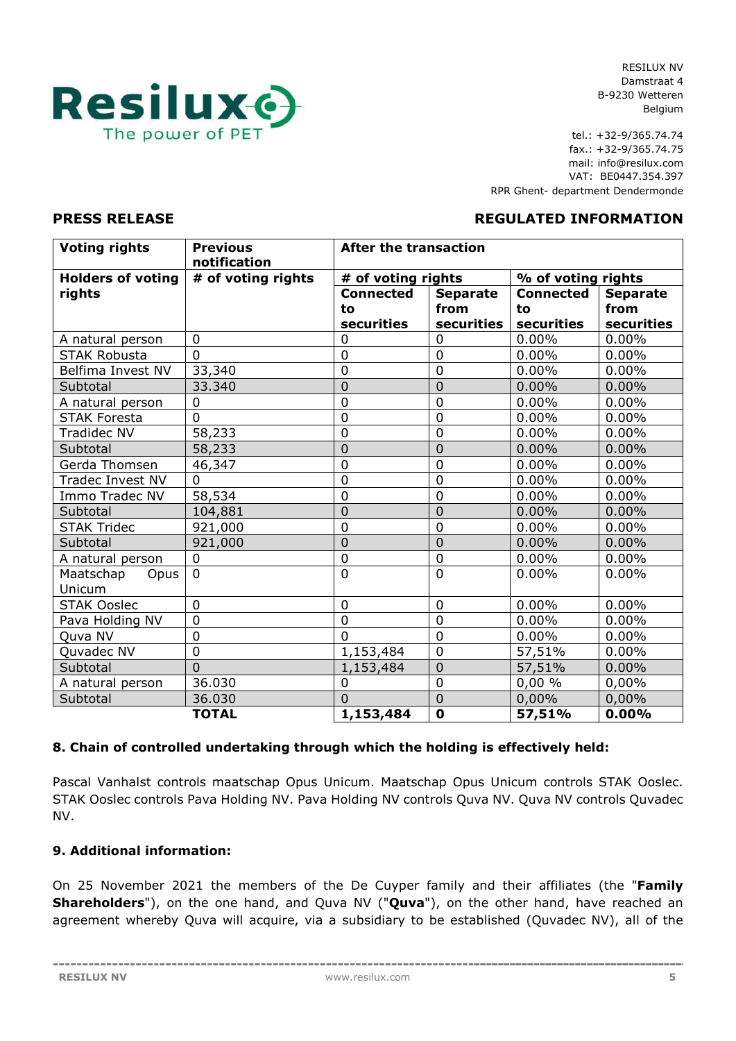

tel.: +32-9/365.74.74 fax.: +32-9/365.74.75 mail: info@resilux.com VAT: BE0447.354.397 RPR Ghent- department Dendermonde

## **PRESS RELEASE REGULATED INFORMATION**

| <b>Voting rights</b>        | <b>Previous</b><br>notification | <b>After the transaction</b> |                 |                    |                 |
|-----------------------------|---------------------------------|------------------------------|-----------------|--------------------|-----------------|
| <b>Holders of voting</b>    | # of voting rights              | # of voting rights           |                 | % of voting rights |                 |
| rights                      |                                 | <b>Connected</b>             | <b>Separate</b> | <b>Connected</b>   | <b>Separate</b> |
|                             |                                 | to                           | from            | to                 | from            |
|                             |                                 | securities                   | securities      | securities         | securities      |
| A natural person            | $\overline{0}$                  | $\overline{0}$               | $\overline{0}$  | 0.00%              | 0.00%           |
| <b>STAK Robusta</b>         | $\Omega$                        | $\mathbf 0$                  | $\mathbf 0$     | 0.00%              | 0.00%           |
| Belfima Invest NV           | 33,340                          | $\mathbf 0$                  | $\overline{0}$  | $0.00\%$           | 0.00%           |
| Subtotal                    | 33.340                          | $\mathbf 0$                  | $\overline{0}$  | 0.00%              | 0.00%           |
| A natural person            | $\Omega$                        | $\overline{0}$               | $\overline{0}$  | $0.00\%$           | 0.00%           |
| <b>STAK Foresta</b>         | $\overline{0}$                  | $\overline{0}$               | $\overline{0}$  | 0.00%              | 0.00%           |
| <b>Tradidec NV</b>          | 58,233                          | $\mathbf 0$                  | $\mathbf 0$     | 0.00%              | $0.00\%$        |
| Subtotal                    | 58,233                          | $\mathbf 0$                  | 0               | 0.00%              | 0.00%           |
| Gerda Thomsen               | 46,347                          | $\overline{0}$               | $\overline{0}$  | 0.00%              | 0.00%           |
| <b>Tradec Invest NV</b>     | $\Omega$                        | $\overline{0}$               | $\mathbf 0$     | 0.00%              | 0.00%           |
| Immo Tradec NV              | 58,534                          | $\mathbf 0$                  | $\overline{0}$  | 0.00%              | 0.00%           |
| Subtotal                    | 104,881                         | $\overline{0}$               | $\overline{0}$  | 0.00%              | 0.00%           |
| <b>STAK Tridec</b>          | 921,000                         | $\mathbf 0$                  | $\overline{0}$  | 0.00%              | 0.00%           |
| Subtotal                    | 921,000                         | $\mathbf 0$                  | $\overline{0}$  | 0.00%              | 0.00%           |
| A natural person            | $\mathbf 0$                     | $\mathbf 0$                  | $\mathbf 0$     | $0.00\%$           | 0.00%           |
| Maatschap<br>Opus<br>Unicum | $\mathbf{0}$                    | $\overline{0}$               | $\overline{0}$  | 0.00%              | $0.00\%$        |
| <b>STAK Ooslec</b>          | $\overline{0}$                  | $\mathbf 0$                  | $\overline{0}$  | 0.00%              | 0.00%           |
| Pava Holding NV             | $\overline{0}$                  | $\mathbf 0$                  | $\overline{0}$  | 0.00%              | 0.00%           |
| Quva NV                     | $\overline{0}$                  | $\Omega$                     | $\overline{0}$  | $0.00\%$           | $0.00\%$        |
| Quvadec NV                  | $\overline{0}$                  | 1,153,484                    | $\overline{0}$  | 57,51%             | 0.00%           |
| Subtotal                    | $\Omega$                        | 1,153,484                    | $\overline{0}$  | 57,51%             | 0.00%           |
| A natural person            | 36.030                          | $\mathbf 0$                  | $\overline{0}$  | 0,00%              | 0,00%           |
| Subtotal                    | 36.030                          | $\overline{0}$               | $\overline{0}$  | 0,00%              | 0,00%           |
|                             | <b>TOTAL</b>                    | 1,153,484                    | $\mathbf 0$     | 57,51%             | 0.00%           |

## **8. Chain of controlled undertaking through which the holding is effectively held:**

Pascal Vanhalst controls maatschap Opus Unicum. Maatschap Opus Unicum controls STAK Ooslec. STAK Ooslec controls Pava Holding NV. Pava Holding NV controls Quva NV. Quva NV controls Quvadec NV.

## **9. Additional information:**

On 25 November 2021 the members of the De Cuyper family and their affiliates (the "**Family Shareholders**"), on the one hand, and Quva NV ("**Quva**"), on the other hand, have reached an agreement whereby Quva will acquire, via a subsidiary to be established (Quvadec NV), all of the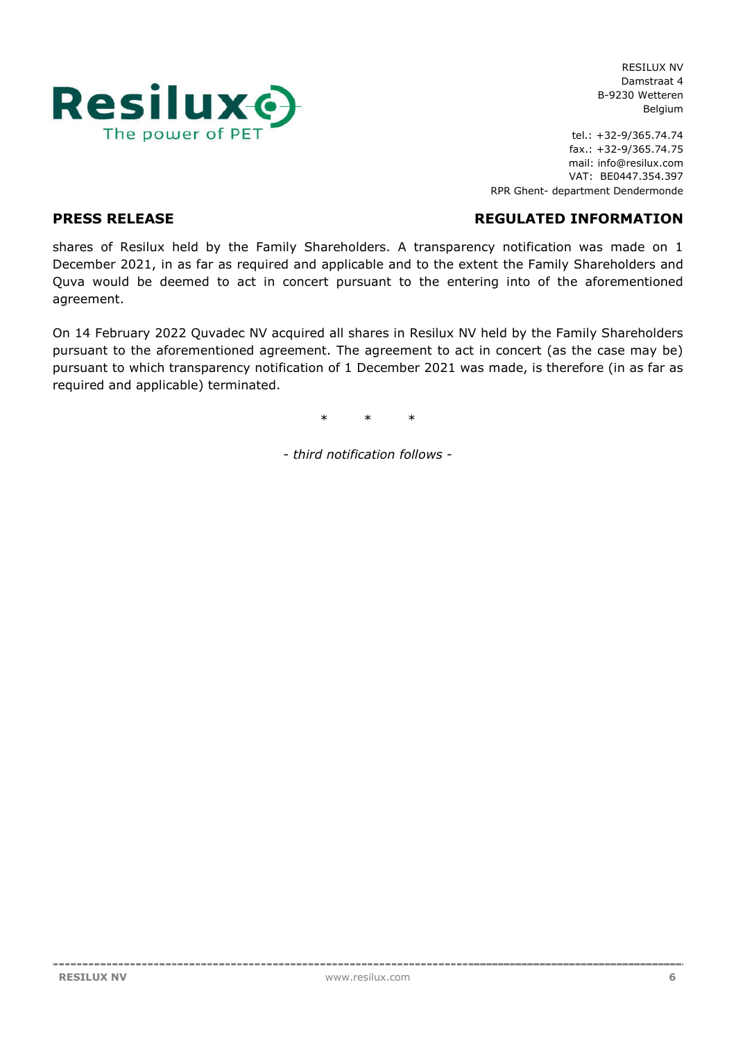

tel.: +32-9/365.74.74 fax.: +32-9/365.74.75 mail: info@resilux.com VAT: BE0447.354.397 RPR Ghent- department Dendermonde

**PRESS RELEASE REGULATED INFORMATION**

shares of Resilux held by the Family Shareholders. A transparency notification was made on 1 December 2021, in as far as required and applicable and to the extent the Family Shareholders and Quva would be deemed to act in concert pursuant to the entering into of the aforementioned agreement.

On 14 February 2022 Quvadec NV acquired all shares in Resilux NV held by the Family Shareholders pursuant to the aforementioned agreement. The agreement to act in concert (as the case may be) pursuant to which transparency notification of 1 December 2021 was made, is therefore (in as far as required and applicable) terminated.

\* \* \*

- *third notification follows* -

------------------------------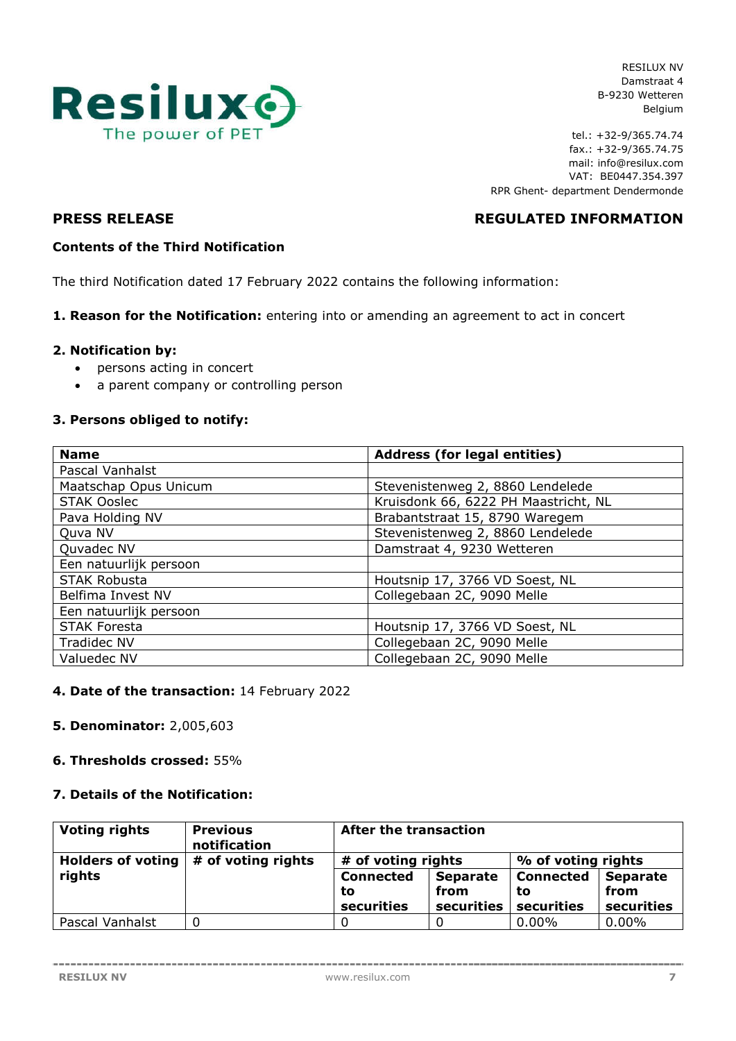

tel.: +32-9/365.74.74 fax.: +32-9/365.74.75 mail: info@resilux.com VAT: BE0447.354.397 RPR Ghent- department Dendermonde

# **PRESS RELEASE REGULATED INFORMATION**

## **Contents of the Third Notification**

The third Notification dated 17 February 2022 contains the following information:

### **1. Reason for the Notification:** entering into or amending an agreement to act in concert

## **2. Notification by:**

- persons acting in concert
- a parent company or controlling person

## **3. Persons obliged to notify:**

| <b>Name</b>            | <b>Address (for legal entities)</b>  |
|------------------------|--------------------------------------|
| Pascal Vanhalst        |                                      |
| Maatschap Opus Unicum  | Stevenistenweg 2, 8860 Lendelede     |
| <b>STAK Ooslec</b>     | Kruisdonk 66, 6222 PH Maastricht, NL |
| Pava Holding NV        | Brabantstraat 15, 8790 Waregem       |
| Quva NV                | Stevenistenweg 2, 8860 Lendelede     |
| Quvadec NV             | Damstraat 4, 9230 Wetteren           |
| Een natuurlijk persoon |                                      |
| <b>STAK Robusta</b>    | Houtsnip 17, 3766 VD Soest, NL       |
| Belfima Invest NV      | Collegebaan 2C, 9090 Melle           |
| Een natuurlijk persoon |                                      |
| <b>STAK Foresta</b>    | Houtsnip 17, 3766 VD Soest, NL       |
| <b>Tradidec NV</b>     | Collegebaan 2C, 9090 Melle           |
| Valuedec NV            | Collegebaan 2C, 9090 Melle           |

## **4. Date of the transaction:** 14 February 2022

#### **5. Denominator:** 2,005,603

#### **6. Thresholds crossed:** 55%

## **7. Details of the Notification:**

| <b>Voting rights</b> | <b>Previous</b><br>notification | <b>After the transaction</b> |                 |                    |                 |
|----------------------|---------------------------------|------------------------------|-----------------|--------------------|-----------------|
| Holders of voting    | # of voting rights              | # of voting rights           |                 | % of voting rights |                 |
| rights               |                                 | <b>Connected</b>             | <b>Separate</b> | <b>Connected</b>   | <b>Separate</b> |
|                      |                                 | to                           | from            | to                 | from            |
|                      |                                 | securities                   | securities      | securities         | securities      |
| Pascal Vanhalst      |                                 |                              |                 | $0.00\%$           | $0.00\%$        |

--------------------------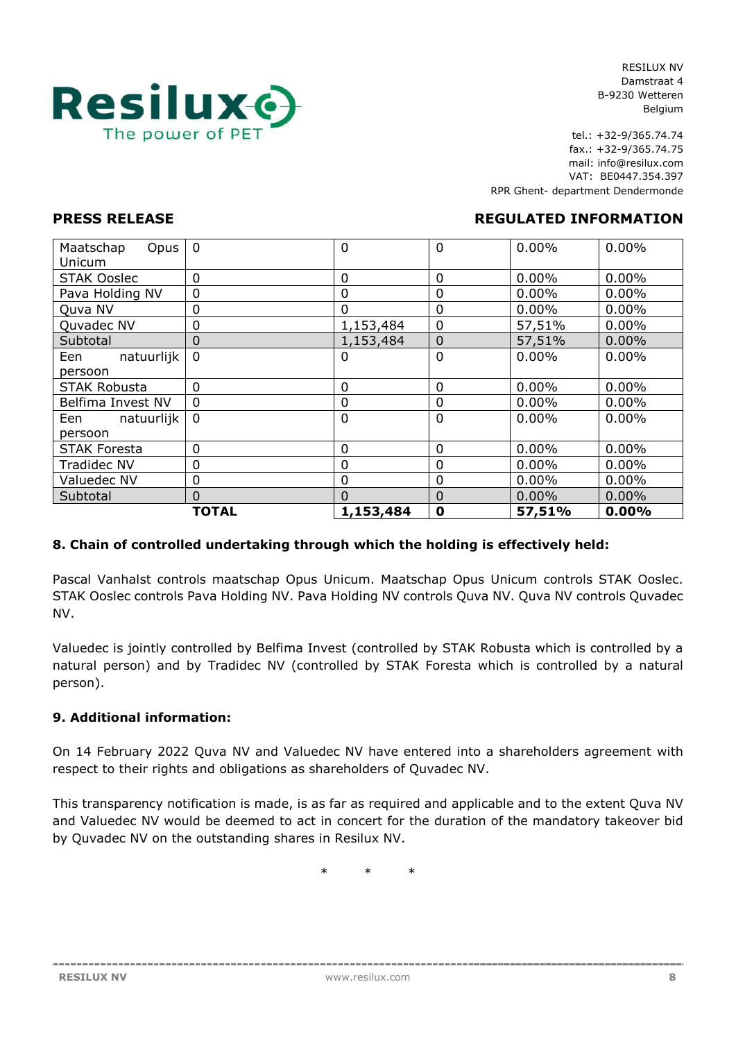

tel.: +32-9/365.74.74 fax.: +32-9/365.74.75 mail: info@resilux.com VAT: BE0447.354.397 RPR Ghent- department Dendermonde

## **PRESS RELEASE REGULATED INFORMATION**

| Maatschap<br>Opus<br>Unicum | $\overline{0}$ | 0              | 0              | 0.00%    | 0.00%    |
|-----------------------------|----------------|----------------|----------------|----------|----------|
| <b>STAK Ooslec</b>          | $\mathbf 0$    | $\mathbf 0$    | 0              | 0.00%    | $0.00\%$ |
| Pava Holding NV             | $\mathbf 0$    | $\mathbf 0$    | 0              | $0.00\%$ | $0.00\%$ |
| Quva NV                     | 0              | $\mathbf 0$    | $\mathbf 0$    | $0.00\%$ | $0.00\%$ |
| Quvadec NV                  | 0              | 1,153,484      | $\mathbf 0$    | 57,51%   | $0.00\%$ |
| Subtotal                    | 0              | 1,153,484      | $\overline{0}$ | 57,51%   | 0.00%    |
| natuurlijk<br>Een           | $\mathbf 0$    | 0              | $\Omega$       | $0.00\%$ | $0.00\%$ |
| persoon                     |                |                |                |          |          |
| <b>STAK Robusta</b>         | $\overline{0}$ | $\overline{0}$ | 0              | $0.00\%$ | $0.00\%$ |
| Belfima Invest NV           | $\Omega$       | $\mathbf 0$    | 0              | $0.00\%$ | $0.00\%$ |
| natuurlijk<br>Een           | $\mathbf 0$    | 0              | $\Omega$       | $0.00\%$ | $0.00\%$ |
| persoon                     |                |                |                |          |          |
| <b>STAK Foresta</b>         | 0              | $\mathbf 0$    | $\Omega$       | 0.00%    | $0.00\%$ |
| <b>Tradidec NV</b>          | 0              | $\mathbf 0$    | $\mathbf 0$    | $0.00\%$ | $0.00\%$ |
| Valuedec NV                 | 0              | $\mathbf 0$    | 0              | $0.00\%$ | $0.00\%$ |
| Subtotal                    | $\overline{0}$ | $\Omega$       | $\Omega$       | $0.00\%$ | $0.00\%$ |
|                             | TOTAL          | 1,153,484      | 0              | 57,51%   | 0.00%    |

## **8. Chain of controlled undertaking through which the holding is effectively held:**

Pascal Vanhalst controls maatschap Opus Unicum. Maatschap Opus Unicum controls STAK Ooslec. STAK Ooslec controls Pava Holding NV. Pava Holding NV controls Quva NV. Quva NV controls Quvadec NV.

Valuedec is jointly controlled by Belfima Invest (controlled by STAK Robusta which is controlled by a natural person) and by Tradidec NV (controlled by STAK Foresta which is controlled by a natural person).

## **9. Additional information:**

-------------------------------

On 14 February 2022 Quva NV and Valuedec NV have entered into a shareholders agreement with respect to their rights and obligations as shareholders of Quvadec NV.

This transparency notification is made, is as far as required and applicable and to the extent Quva NV and Valuedec NV would be deemed to act in concert for the duration of the mandatory takeover bid by Quvadec NV on the outstanding shares in Resilux NV.

\* \* \*